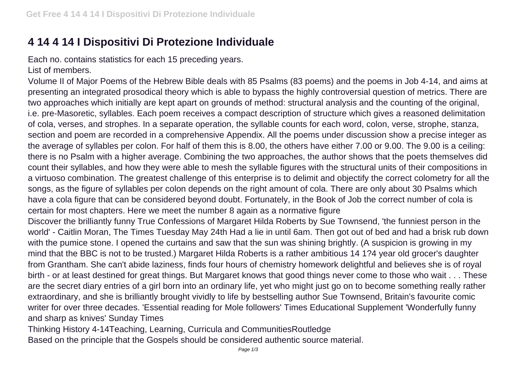## **4 14 4 14 I Dispositivi Di Protezione Individuale**

Each no. contains statistics for each 15 preceding years. List of members.

Volume II of Major Poems of the Hebrew Bible deals with 85 Psalms (83 poems) and the poems in Job 4-14, and aims at presenting an integrated prosodical theory which is able to bypass the highly controversial question of metrics. There are two approaches which initially are kept apart on grounds of method: structural analysis and the counting of the original, i.e. pre-Masoretic, syllables. Each poem receives a compact description of structure which gives a reasoned delimitation of cola, verses, and strophes. In a separate operation, the syllable counts for each word, colon, verse, strophe, stanza, section and poem are recorded in a comprehensive Appendix. All the poems under discussion show a precise integer as the average of syllables per colon. For half of them this is 8.00, the others have either 7.00 or 9.00. The 9.00 is a ceiling: there is no Psalm with a higher average. Combining the two approaches, the author shows that the poets themselves did count their syllables, and how they were able to mesh the syllable figures with the structural units of their compositions in a virtuoso combination. The greatest challenge of this enterprise is to delimit and objectify the correct colometry for all the songs, as the figure of syllables per colon depends on the right amount of cola. There are only about 30 Psalms which have a cola figure that can be considered beyond doubt. Fortunately, in the Book of Job the correct number of cola is certain for most chapters. Here we meet the number 8 again as a normative figure

Discover the brilliantly funny True Confessions of Margaret Hilda Roberts by Sue Townsend, 'the funniest person in the world' - Caitlin Moran, The Times Tuesday May 24th Had a lie in until 6am. Then got out of bed and had a brisk rub down with the pumice stone. I opened the curtains and saw that the sun was shining brightly. (A suspicion is growing in my mind that the BBC is not to be trusted.) Margaret Hilda Roberts is a rather ambitious 14 1?4 year old grocer's daughter from Grantham. She can't abide laziness, finds four hours of chemistry homework delightful and believes she is of royal birth - or at least destined for great things. But Margaret knows that good things never come to those who wait . . . These are the secret diary entries of a girl born into an ordinary life, yet who might just go on to become something really rather extraordinary, and she is brilliantly brought vividly to life by bestselling author Sue Townsend, Britain's favourite comic writer for over three decades. 'Essential reading for Mole followers' Times Educational Supplement 'Wonderfully funny and sharp as knives' Sunday Times

Thinking History 4-14Teaching, Learning, Curricula and CommunitiesRoutledge Based on the principle that the Gospels should be considered authentic source material.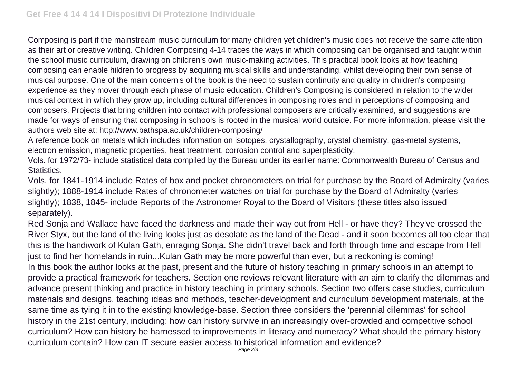Composing is part if the mainstream music curriculum for many children yet children's music does not receive the same attention as their art or creative writing. Children Composing 4-14 traces the ways in which composing can be organised and taught within the school music curriculum, drawing on children's own music-making activities. This practical book looks at how teaching composing can enable hildren to progress by acquiring musical skills and understanding, whilst developing their own sense of musical purpose. One of the main concern's of the book is the need to sustain continuity and quality in children's composing experience as they mover through each phase of music education. Children's Composing is considered in relation to the wider musical context in which they grow up, including cultural differences in composing roles and in perceptions of composing and composers. Projects that bring children into contact with professional composers are critically examined, and suggestions are made for ways of ensuring that composing in schools is rooted in the musical world outside. For more information, please visit the authors web site at: http://www.bathspa.ac.uk/children-composing/

A reference book on metals which includes information on isotopes, crystallography, crystal chemistry, gas-metal systems, electron emission, magnetic properties, heat treatment, corrosion control and superplasticity.

Vols. for 1972/73- include statistical data compiled by the Bureau under its earlier name: Commonwealth Bureau of Census and Statistics.

Vols. for 1841-1914 include Rates of box and pocket chronometers on trial for purchase by the Board of Admiralty (varies slightly); 1888-1914 include Rates of chronometer watches on trial for purchase by the Board of Admiralty (varies slightly); 1838, 1845- include Reports of the Astronomer Royal to the Board of Visitors (these titles also issued separately).

Red Sonja and Wallace have faced the darkness and made their way out from Hell - or have they? They've crossed the River Styx, but the land of the living looks just as desolate as the land of the Dead - and it soon becomes all too clear that this is the handiwork of Kulan Gath, enraging Sonja. She didn't travel back and forth through time and escape from Hell just to find her homelands in ruin...Kulan Gath may be more powerful than ever, but a reckoning is coming! In this book the author looks at the past, present and the future of history teaching in primary schools in an attempt to provide a practical framework for teachers. Section one reviews relevant literature with an aim to clarify the dilemmas and advance present thinking and practice in history teaching in primary schools. Section two offers case studies, curriculum materials and designs, teaching ideas and methods, teacher-development and curriculum development materials, at the same time as tying it in to the existing knowledge-base. Section three considers the 'perennial dilemmas' for school history in the 21st century, including: how can history survive in an increasingly over-crowded and competitive school curriculum? How can history be harnessed to improvements in literacy and numeracy? What should the primary history curriculum contain? How can IT secure easier access to historical information and evidence?